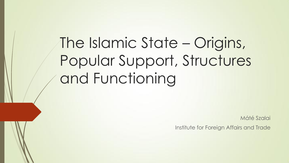The Islamic State – Origins, Popular Support, Structures and Functioning

Máté Szalai

Institute for Foreign Affairs and Trade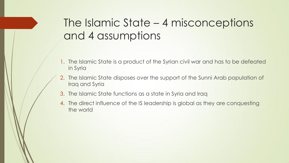## The Islamic State – 4 misconceptions and 4 assumptions

- 1. The Islamic State is a product of the Syrian civil war and has to be defeated in Syria
- 2. The Islamic State disposes over the support of the Sunni Arab population of Iraq and Syria
- 3. The Islamic State functions as a state in Syria and Iraq
- 4. The direct influence of the IS leadership is global as they are conquesting the world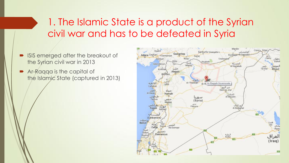### 1. The Islamic State is a product of the Syrian civil war and has to be defeated in Syria

- ISIS emerged after the breakout of the Syrian civil war in 2013
- Ar-Raqqa is the capital of the Islamic State (captured in 2013)

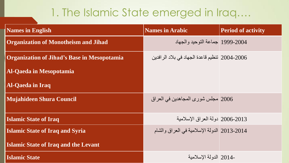## 1. The Islamic State emerged in Iraq….

| <b>Names in English</b>                            | <b>Names in Arabic</b>                        | <b>Period of activity</b> |
|----------------------------------------------------|-----------------------------------------------|---------------------------|
| <b>Organization of Monotheism and Jihad</b>        | 2004-1999  جماعة التوحيد و الجهاد             |                           |
| <b>Organization of Jihad's Base in Mesopotamia</b> | 2004-2006 تنظيم قاعدة الجهاد في بلاد الرافدين |                           |
| <b>Al-Qaeda in Mesopotamia</b>                     |                                               |                           |
| <b>Al-Qaeda in Iraq</b>                            |                                               |                           |
| <b>Mujahideen Shura Council</b>                    | 2006   مجلس شوري المجاهدين في العراق          |                           |
| <b>Islamic State of Iraq</b>                       | 2006-2013   دولة العر اق الإسلامية            |                           |
| <b>Islamic State of Iraq and Syria</b>             | 2013-2014 الدولة الإسلامية في العراق والشام   |                           |
| <b>Islamic State of Iraq and the Levant</b>        |                                               |                           |
| <b>Islamic State</b>                               | -2014 الدولة الاسلامبة                        |                           |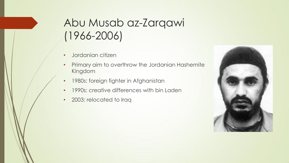### Abu Musab az-Zarqawi (1966-2006)

- Jordanian citizen
- Primary aim to overthrow the Jordanian Hashemite Kingdom
- 1980s: foreign fighter in Afghanistan
- 1990s: creative differences with bin Laden
- 2003: relocated to Iraq

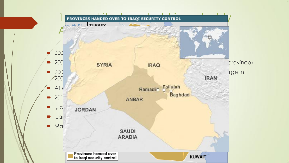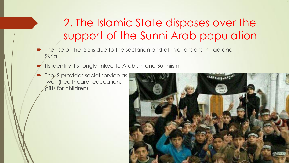## 2. The Islamic State disposes over the support of the Sunni Arab population

- The rise of the ISIS is due to the sectarian and ethnic tensions in Iraq and **Syria**
- Its identity if strongly linked to Arabism and Sunniism
- The IS provides social service as well (healthcare, education, gifts for children)

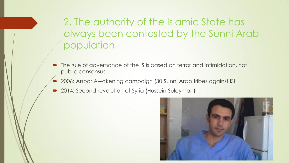2. The authority of the Islamic State has always been contested by the Sunni Arab population

- The rule of governance of the IS is based on terror and intimidation, not public consensus
- 2006: Anbar Awakening campaign (30 Sunni Arab tribes against ISI)
- 2014: Second revolution of Syria (Hussein Suleyman)

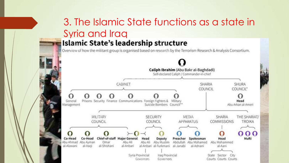# 3. The Islamic State functions as a state in Syria and Iraq

#### **Islamic State's leadership structure**

Overview of how the militant group is organised based on research by the Terrorism Research & Analysis Consortium.

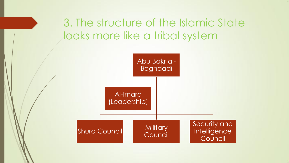3. The structure of the Islamic State looks more like a tribal system

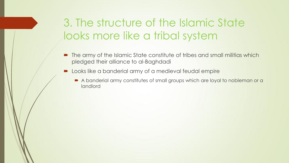### 3. The structure of the Islamic State looks more like a tribal system

- The army of the Islamic State constitute of tribes and small militias which pledged their alliance to al-Baghdadi
- **Demoks like a banderial army of a medieval feudal empire** 
	- A banderial army constitutes of small groups which are loyal to nobleman or a landlord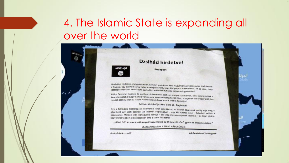### 4. The Islamic State is expanding all over the world

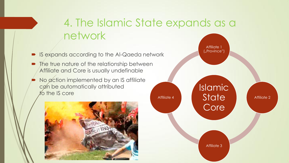### 4. The Islamic State expands as a network

- IS expands according to the Al-Qaeda network
- The true nature of the relationship between Affiliate and Core is usually undefinable
- No action implemented by an IS affiliate can be automatically attributed to the IS core